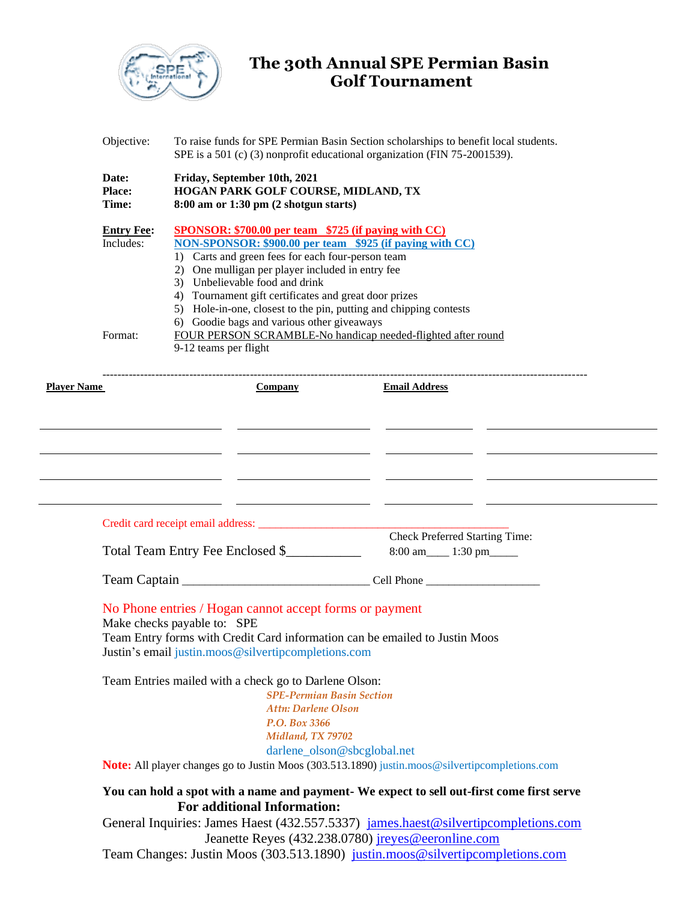

## **The 30th Annual SPE Permian Basin Golf Tournament**

|                    | Objective:                                                                                                                                                                                                                                                                                            | To raise funds for SPE Permian Basin Section scholarships to benefit local students.<br>SPE is a 501 (c) (3) nonprofit educational organization (FIN 75-2001539).                                                                                                                                                                                                                                                                                                                                                                       |                                                                     |  |
|--------------------|-------------------------------------------------------------------------------------------------------------------------------------------------------------------------------------------------------------------------------------------------------------------------------------------------------|-----------------------------------------------------------------------------------------------------------------------------------------------------------------------------------------------------------------------------------------------------------------------------------------------------------------------------------------------------------------------------------------------------------------------------------------------------------------------------------------------------------------------------------------|---------------------------------------------------------------------|--|
|                    | Date:<br><b>Place:</b><br>Time:                                                                                                                                                                                                                                                                       | Friday, September 10th, 2021<br>HOGAN PARK GOLF COURSE, MIDLAND, TX<br>$8:00$ am or $1:30$ pm $(2 \text{ shotgun starts})$                                                                                                                                                                                                                                                                                                                                                                                                              |                                                                     |  |
|                    | <b>Entry Fee:</b><br>Includes:<br>Format:                                                                                                                                                                                                                                                             | <b>SPONSOR: \$700.00 per team \$725 (if paying with CC)</b><br>NON-SPONSOR: \$900.00 per team \$925 (if paying with CC)<br>1) Carts and green fees for each four-person team<br>2) One mulligan per player included in entry fee<br>3) Unbelievable food and drink<br>4) Tournament gift certificates and great door prizes<br>5) Hole-in-one, closest to the pin, putting and chipping contests<br>6) Goodie bags and various other giveaways<br>FOUR PERSON SCRAMBLE-No handicap needed-flighted after round<br>9-12 teams per flight |                                                                     |  |
| <b>Player Name</b> |                                                                                                                                                                                                                                                                                                       | <b>Company</b>                                                                                                                                                                                                                                                                                                                                                                                                                                                                                                                          | <b>Email Address</b>                                                |  |
|                    |                                                                                                                                                                                                                                                                                                       |                                                                                                                                                                                                                                                                                                                                                                                                                                                                                                                                         |                                                                     |  |
|                    |                                                                                                                                                                                                                                                                                                       |                                                                                                                                                                                                                                                                                                                                                                                                                                                                                                                                         |                                                                     |  |
|                    |                                                                                                                                                                                                                                                                                                       | Total Team Entry Fee Enclosed \$                                                                                                                                                                                                                                                                                                                                                                                                                                                                                                        | <b>Check Preferred Starting Time:</b><br>8:00 am_____ 1:30 pm______ |  |
|                    |                                                                                                                                                                                                                                                                                                       |                                                                                                                                                                                                                                                                                                                                                                                                                                                                                                                                         |                                                                     |  |
|                    | No Phone entries / Hogan cannot accept forms or payment<br>Make checks payable to: SPE<br>Team Entry forms with Credit Card information can be emailed to Justin Moos<br>Justin's email justin.moos@silvertipcompletions.com                                                                          |                                                                                                                                                                                                                                                                                                                                                                                                                                                                                                                                         |                                                                     |  |
|                    | Team Entries mailed with a check go to Darlene Olson:<br><b>SPE-Permian Basin Section</b><br><b>Attn: Darlene Olson</b><br>P.O. Box 3366<br>Midland, TX 79702<br>darlene_olson@sbcglobal.net<br><b>Note:</b> All player changes go to Justin Moos (303.513.1890) justin.moos@silvertipcompletions.com |                                                                                                                                                                                                                                                                                                                                                                                                                                                                                                                                         |                                                                     |  |
|                    | You can hold a spot with a name and payment- We expect to sell out-first come first serve<br><b>For additional Information:</b>                                                                                                                                                                       |                                                                                                                                                                                                                                                                                                                                                                                                                                                                                                                                         |                                                                     |  |
|                    |                                                                                                                                                                                                                                                                                                       |                                                                                                                                                                                                                                                                                                                                                                                                                                                                                                                                         |                                                                     |  |
|                    | General Inquiries: James Haest (432.557.5337) james.haest@silvertipcompletions.com                                                                                                                                                                                                                    |                                                                                                                                                                                                                                                                                                                                                                                                                                                                                                                                         |                                                                     |  |
|                    | Jeanette Reyes (432.238.0780) jreyes@eeronline.com                                                                                                                                                                                                                                                    |                                                                                                                                                                                                                                                                                                                                                                                                                                                                                                                                         |                                                                     |  |

Team Changes: Justin Moos (303.513.1890) [justin.moos@silvertipcompletions.com](mailto:justin.moos@silvertipcompletions.com)